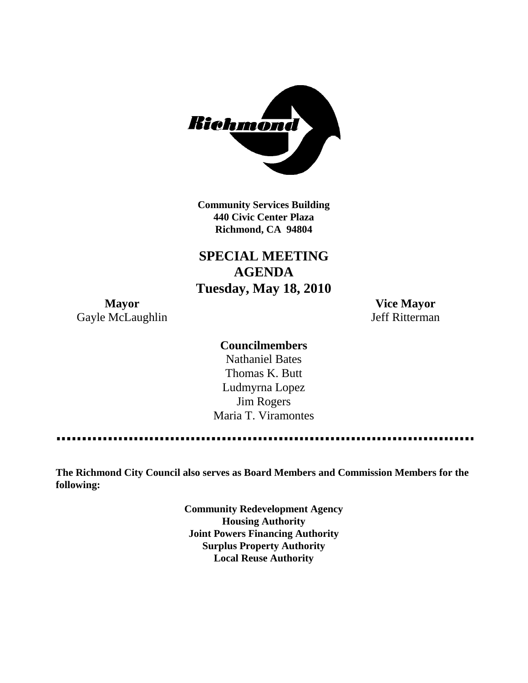

**Community Services Building 440 Civic Center Plaza Richmond, CA 94804**

**SPECIAL MEETING AGENDA Tuesday, May 18, 2010**

**Mayor Vice Mayor** Gayle McLaughlin Jeff Ritterman

**Councilmembers**

Nathaniel Bates Thomas K. Butt Ludmyrna Lopez Jim Rogers Maria T. Viramontes

**The Richmond City Council also serves as Board Members and Commission Members for the following:**

> **Community Redevelopment Agency Housing Authority Joint Powers Financing Authority Surplus Property Authority Local Reuse Authority**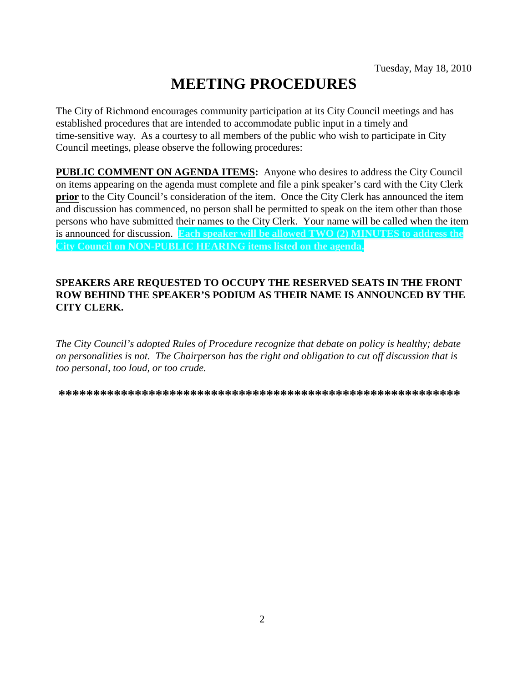# **MEETING PROCEDURES**

The City of Richmond encourages community participation at its City Council meetings and has established procedures that are intended to accommodate public input in a timely and time-sensitive way. As a courtesy to all members of the public who wish to participate in City Council meetings, please observe the following procedures:

**PUBLIC COMMENT ON AGENDA ITEMS:** Anyone who desires to address the City Council on items appearing on the agenda must complete and file a pink speaker's card with the City Clerk **prior** to the City Council's consideration of the item. Once the City Clerk has announced the item and discussion has commenced, no person shall be permitted to speak on the item other than those persons who have submitted their names to the City Clerk. Your name will be called when the item is announced for discussion. **Each speaker will be allowed TWO (2) MINUTES to address the City Council on NON-PUBLIC HEARING items listed on the agenda.**

#### **SPEAKERS ARE REQUESTED TO OCCUPY THE RESERVED SEATS IN THE FRONT ROW BEHIND THE SPEAKER'S PODIUM AS THEIR NAME IS ANNOUNCED BY THE CITY CLERK.**

*The City Council's adopted Rules of Procedure recognize that debate on policy is healthy; debate on personalities is not. The Chairperson has the right and obligation to cut off discussion that is too personal, too loud, or too crude.*

**\*\*\*\*\*\*\*\*\*\*\*\*\*\*\*\*\*\*\*\*\*\*\*\*\*\*\*\*\*\*\*\*\*\*\*\*\*\*\*\*\*\*\*\*\*\*\*\*\*\*\*\*\*\*\*\*\*\***